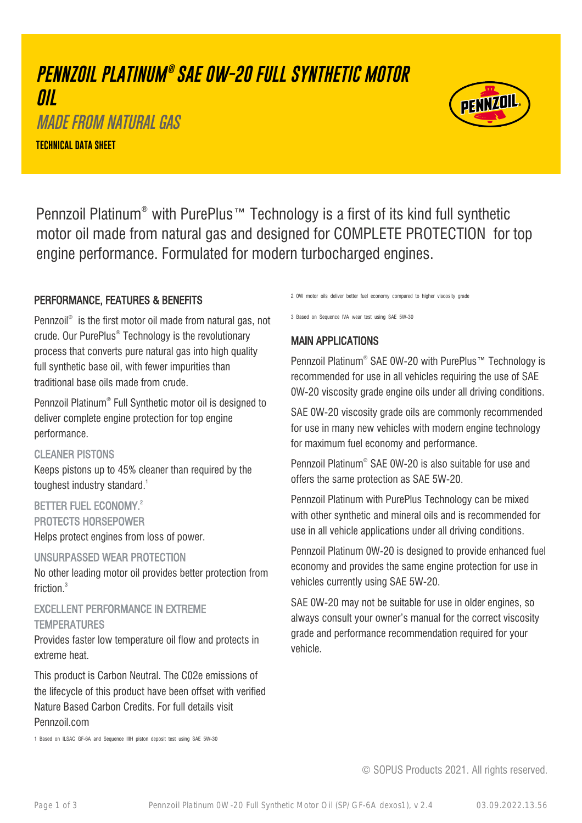# **PENNZOIL PLATINUM ® SAE 0W-20 FULL SYNTHETIC MOTOR OIL** MADE FROM NATURAL GAS

**TECHNICAL DATA SHEET**



Pennzoil Platinum® with PurePlus™ Technology is a first of its kind full synthetic motor oil made from natural gas and designed for COMPLETE PROTECTION for top engine performance. Formulated for modern turbocharged engines.

### PERFORMANCE, FEATURES & BENEFITS

Pennzoil® is the first motor oil made from natural gas, not crude. Our PurePlus® Technology is the revolutionary process that converts pure natural gas into high quality full synthetic base oil, with fewer impurities than traditional base oils made from crude.

Pennzoil Platinum® Full Synthetic motor oil is designed to deliver complete engine protection for top engine performance.

### CLEANER PISTONS

Keeps pistons up to 45% cleaner than required by the toughest industry standard.<sup>1</sup>

### BETTER FUEL ECONOMY.<sup>2</sup> PROTECTS HORSEPOWER

Helps protect engines from loss of power.

#### UNSURPASSED WEAR PROTECTION

No other leading motor oil provides better protection from friction.<sup>3</sup>

## EXCELLENT PERFORMANCE IN EXTREME **TEMPERATURES**

Provides faster low temperature oil flow and protects in extreme heat.

This product is Carbon Neutral. The C02e emissions of the lifecycle of this product have been offset with verified Nature Based Carbon Credits. For full details visit Pennzoil.com

2 0W motor oils deliver better fuel economy compared to higher viscosity grade

3 Based on Sequence IVA wear test using SAE 5W-30

### MAIN APPLICATIONS

Pennzoil Platinum® SAE 0W-20 with PurePlus™ Technology is recommended for use in all vehicles requiring the use of SAE 0W-20 viscosity grade engine oils under all driving conditions.

SAE 0W-20 viscosity grade oils are commonly recommended for use in many new vehicles with modern engine technology for maximum fuel economy and performance.

Pennzoil Platinum® SAE 0W-20 is also suitable for use and offers the same protection as SAE 5W-20.

Pennzoil Platinum with PurePlus Technology can be mixed with other synthetic and mineral oils and is recommended for use in all vehicle applications under all driving conditions.

Pennzoil Platinum 0W-20 is designed to provide enhanced fuel economy and provides the same engine protection for use in vehicles currently using SAE 5W-20.

SAE 0W-20 may not be suitable for use in older engines, so always consult your owner's manual for the correct viscosity grade and performance recommendation required for your vehicle.

1 Based on ILSAC GF-6A and Sequence IIIH piston deposit test using SAE 5W-30

© SOPUS Products 2021. All rights reserved.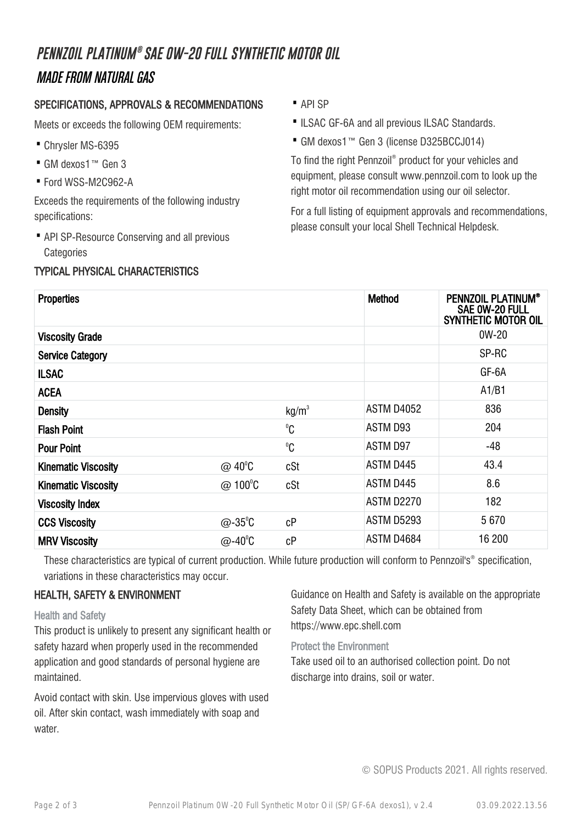# **PENNZOIL PLATINUM ® SAE 0W-20 FULL SYNTHETIC MOTOR OIL** MADE FROM NATURAL GAS

### SPECIFICATIONS, APPROVALS & RECOMMENDATIONS

Meets or exceeds the following OEM requirements:

- · Chrysler MS-6395
- · GM dexos1™ Gen 3
- · Ford WSS-M2C962-A

Exceeds the requirements of the following industry specifications:

• API SP-Resource Conserving and all previous **Categories** 

### TYPICAL PHYSICAL CHARACTERISTICS

- · API SP
- ·ILSAC GF-6A and all previous ILSAC Standards.
- · GM dexos1™ Gen 3 (license D325BCCJ014)

To find the right Pennzoil® product for your vehicles and equipment, please consult www.pennzoil.com to look up the right motor oil recommendation using our oil selector.

For a full listing of equipment approvals and recommendations, please consult your local Shell Technical Helpdesk.

| <b>Properties</b>          |                       |                   | <b>Method</b>     | <b>PENNZOIL PLATINUM®</b><br>SAE 0W-20 FULL<br><b>SYNTHETIC MOTOR OIL</b> |
|----------------------------|-----------------------|-------------------|-------------------|---------------------------------------------------------------------------|
| <b>Viscosity Grade</b>     |                       |                   |                   | $0W-20$                                                                   |
| <b>Service Category</b>    |                       |                   |                   | SP-RC                                                                     |
| <b>ILSAC</b>               |                       |                   |                   | GF-6A                                                                     |
| <b>ACEA</b>                |                       |                   |                   | A1/B1                                                                     |
| <b>Density</b>             |                       | kg/m <sup>3</sup> | <b>ASTM D4052</b> | 836                                                                       |
| <b>Flash Point</b>         |                       | $^0C$             | ASTM D93          | 204                                                                       |
| <b>Pour Point</b>          |                       | $^0C$             | ASTM D97          | $-48$                                                                     |
| <b>Kinematic Viscosity</b> | $@$ 40 <sup>°</sup> C | cSt               | ASTM D445         | 43.4                                                                      |
| <b>Kinematic Viscosity</b> | $@$ 100 $^{\circ}$ C  | cSt               | ASTM D445         | 8.6                                                                       |
| <b>Viscosity Index</b>     |                       |                   | ASTM D2270        | 182                                                                       |
| <b>CCS Viscosity</b>       | $@-35^{\circ}C$       | cP                | ASTM D5293        | 5670                                                                      |
| <b>MRV Viscosity</b>       | $@-40^{\circ}C$       | cP                | ASTM D4684        | 16 200                                                                    |

These characteristics are typical of current production. While future production will conform to Pennzoil's® specification, variations in these characteristics may occur.

### HEALTH, SAFETY & ENVIRONMENT

Health and Safety

This product is unlikely to present any significant health or safety hazard when properly used in the recommended application and good standards of personal hygiene are maintained.

Avoid contact with skin. Use impervious gloves with used oil. After skin contact, wash immediately with soap and water.

Guidance on Health and Safety is available on the appropriate Safety Data Sheet, which can be obtained from https://www.epc.shell.com

#### Protect the Environment

Take used oil to an authorised collection point. Do not discharge into drains, soil or water.

© SOPUS Products 2021. All rights reserved.